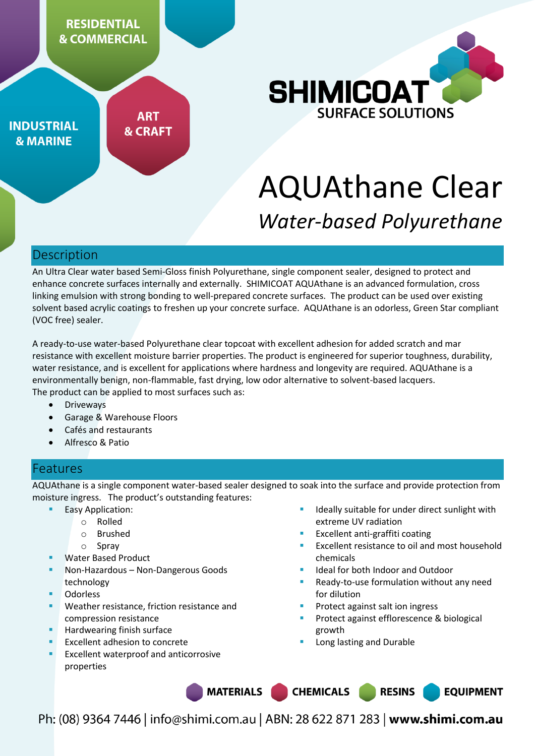

**INDUSTRIAL & MARINE** 

**ART & CRAFT** 



# AQUAthane Clear *Water-based Polyurethane*

#### Description

An Ultra Clear water based Semi-Gloss finish Polyurethane, single component sealer, designed to protect and enhance concrete surfaces internally and externally. SHIMICOAT AQUAthane is an advanced formulation, cross linking emulsion with strong bonding to well-prepared concrete surfaces. The product can be used over existing solvent based acrylic coatings to freshen up your concrete surface. AQUAthane is an odorless, Green Star compliant (VOC free) sealer.

A ready-to-use water-based Polyurethane clear topcoat with excellent adhesion for added scratch and mar resistance with excellent moisture barrier properties. The product is engineered for superior toughness, durability, water resistance, and is excellent for applications where hardness and longevity are required. AQUAthane is a environmentally benign, non-flammable, fast drying, low odor alternative to solvent-based lacquers. The product can be applied to most surfaces such as:

- **•** Driveways
- Garage & Warehouse Floors
- Cafés and restaurants
- Alfresco & Patio

# Features

AQUAthane is a single component water-based sealer designed to soak into the surface and provide protection from moisture ingress. The product's outstanding features:

- Easy Application:
	- o Rolled
		- o Brushed
		- o Spray
- Water Based Product
- Non-Hazardous Non-Dangerous Goods technology
- Odorless
- Weather resistance, friction resistance and compression resistance
- Hardwearing finish surface
- Excellent adhesion to concrete
- Excellent waterproof and anticorrosive properties
- Ideally suitable for under direct sunlight with extreme UV radiation
- Excellent anti-graffiti coating
- Excellent resistance to oil and most household chemicals
- Ideal for both Indoor and Outdoor
- Ready-to-use formulation without any need for dilution
- Protect against salt ion ingress
- Protect against efflorescence & biological growth

**RESINS** 

**EQUIPMENT** 

Long lasting and Durable

**CHEMICALS** 

**MATERIALS**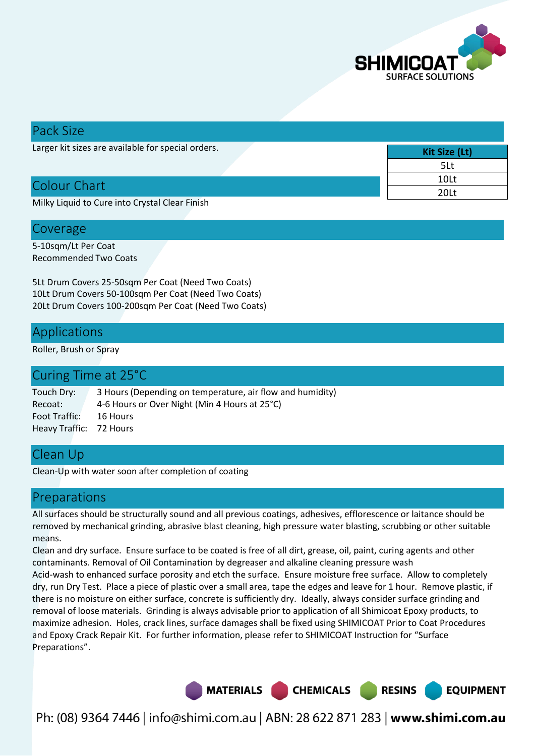

| Pack Size                                          |               |
|----------------------------------------------------|---------------|
| Larger kit sizes are available for special orders. | Kit Size (Lt) |
|                                                    | 5Lt           |
| Colour Chart                                       | 10Lt          |
|                                                    | 20Lt          |
| Milly Liquid to Cure into Crystal Clear Finish     |               |

Milky Liquid to Cure into Crystal Clear Finish

#### Coverage

5-10sqm/Lt Per Coat Recommended Two Coats

5Lt Drum Covers 25-50sqm Per Coat (Need Two Coats) 10Lt Drum Covers 50-100sqm Per Coat (Need Two Coats) 20Lt Drum Covers 100-200sqm Per Coat (Need Two Coats)

#### Applications

Roller, Brush or Spray

| Curing Time at 25 <sup>°</sup> C                          |
|-----------------------------------------------------------|
| 3 Hours (Depending on temperature, air flow and humidity) |
| 4-6 Hours or Over Night (Min 4 Hours at 25°C)             |
| 16 Hours                                                  |
| Heavy Traffic: 72 Hours                                   |
|                                                           |

## Clean Up

Clean-Up with water soon after completion of coating

## Preparations

All surfaces should be structurally sound and all previous coatings, adhesives, efflorescence or laitance should be removed by mechanical grinding, abrasive blast cleaning, high pressure water blasting, scrubbing or other suitable means.

Clean and dry surface. Ensure surface to be coated is free of all dirt, grease, oil, paint, curing agents and other contaminants. Removal of Oil Contamination by degreaser and alkaline cleaning pressure wash Acid-wash to enhanced surface porosity and etch the surface. Ensure moisture free surface. Allow to completely dry, run Dry Test. Place a piece of plastic over a small area, tape the edges and leave for 1 hour. Remove plastic, if there is no moisture on either surface, concrete is sufficiently dry. Ideally, always consider surface grinding and removal of loose materials. Grinding is always advisable prior to application of all Shimicoat Epoxy products, to maximize adhesion. Holes, crack lines, surface damages shall be fixed using SHIMICOAT Prior to Coat Procedures and Epoxy Crack Repair Kit. For further information, please refer to SHIMICOAT Instruction for "Surface Preparations".

> MATERIALS CHEMICALS **RESINS EQUIPMENT**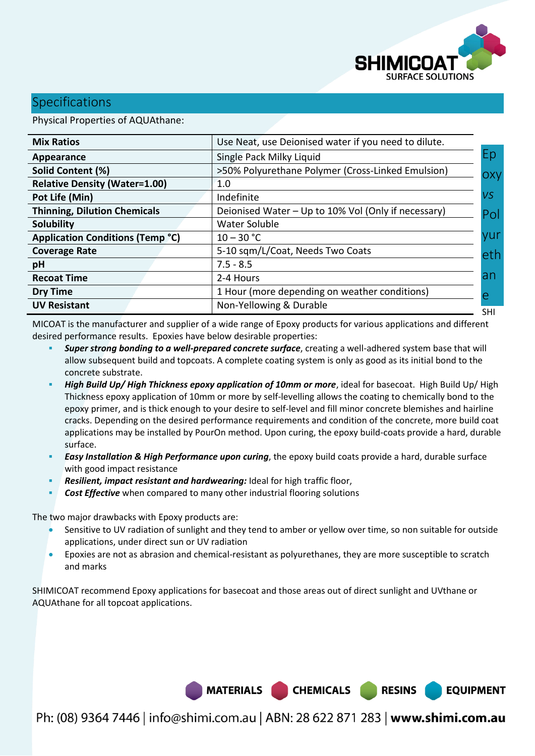

**EQUIPMENT** 

## **Specifications**

Physical Properties of AQUAthane:

| <b>Mix Ratios</b>                       | Use Neat, use Deionised water if you need to dilute. |           |
|-----------------------------------------|------------------------------------------------------|-----------|
| Appearance                              | Single Pack Milky Liquid                             | Ep        |
| Solid Content (%)                       | >50% Polyurethane Polymer (Cross-Linked Emulsion)    | OXV       |
| <b>Relative Density (Water=1.00)</b>    | 1.0                                                  |           |
| Pot Life (Min)                          | Indefinite                                           | <b>VS</b> |
| <b>Thinning, Dilution Chemicals</b>     | Deionised Water - Up to 10% Vol (Only if necessary)  | Pol       |
| <b>Solubility</b>                       | Water Soluble                                        |           |
| <b>Application Conditions (Temp °C)</b> | $10 - 30 °C$                                         | yur       |
| <b>Coverage Rate</b>                    | 5-10 sqm/L/Coat, Needs Two Coats                     | eth       |
| pH                                      | $7.5 - 8.5$                                          |           |
| <b>Recoat Time</b>                      | 2-4 Hours                                            | an        |
| <b>Dry Time</b>                         | 1 Hour (more depending on weather conditions)        | e         |
| <b>UV Resistant</b>                     | Non-Yellowing & Durable                              | SHI       |

MICOAT is the manufacturer and supplier of a wide range of Epoxy products for various applications and different desired performance results. Epoxies have below desirable properties:

- *Super strong bonding to a well-prepared concrete surface*, creating a well-adhered system base that will allow subsequent build and topcoats. A complete coating system is only as good as its initial bond to the concrete substrate.
- *High Build Up/ High Thickness epoxy application of 10mm or more*, ideal for basecoat. High Build Up/ High Thickness epoxy application of 10mm or more by self-levelling allows the coating to chemically bond to the epoxy primer, and is thick enough to your desire to self-level and fill minor concrete blemishes and hairline cracks. Depending on the desired performance requirements and condition of the concrete, more build coat applications may be installed by PourOn method. Upon curing, the epoxy build-coats provide a hard, durable surface.
- *Easy Installation & High Performance upon curing*, the epoxy build coats provide a hard, durable surface with good impact resistance
- *Resilient, impact resistant and hardwearing:* **Ideal for high traffic floor,**
- **Cost Effective** when compared to many other industrial flooring solutions

The two major drawbacks with Epoxy products are:

- Sensitive to UV radiation of sunlight and they tend to amber or yellow over time, so non suitable for outside applications, under direct sun or UV radiation
- Epoxies are not as abrasion and chemical-resistant as polyurethanes, they are more susceptible to scratch and marks

SHIMICOAT recommend Epoxy applications for basecoat and those areas out of direct sunlight and UVthane or AQUAthane for all topcoat applications.

MATERIALS CHEMICALS RESINS